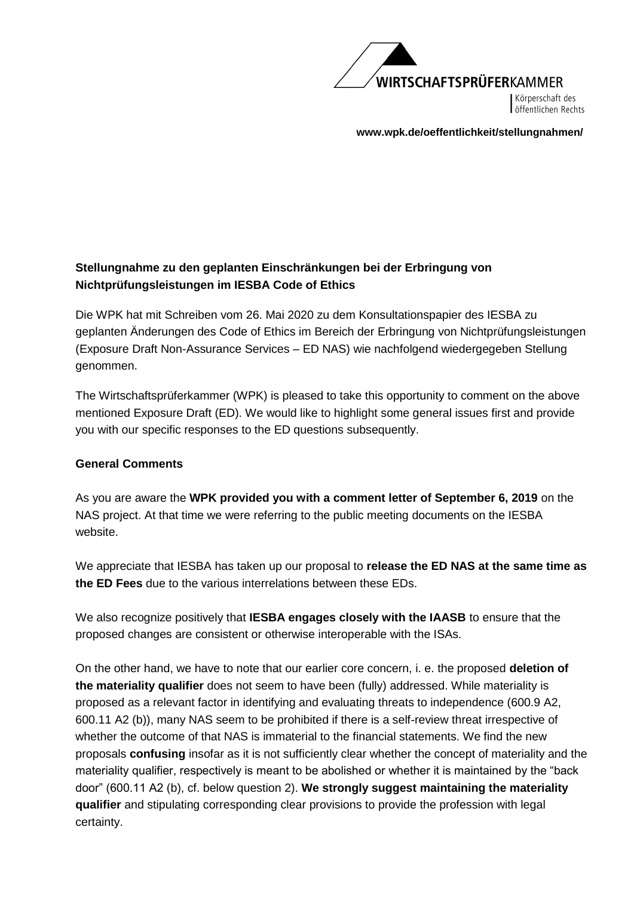

Körperschaft des öffentlichen Rechts

**www.wpk.de/oeffentlichkeit/stellungnahmen/** 

# **Stellungnahme zu den geplanten Einschränkungen bei der Erbringung von Nichtprüfungsleistungen im IESBA Code of Ethics**

Die WPK hat mit Schreiben vom 26. Mai 2020 zu dem Konsultationspapier des IESBA zu geplanten Änderungen des Code of Ethics im Bereich der Erbringung von Nichtprüfungsleistungen (Exposure Draft Non-Assurance Services – ED NAS) wie nachfolgend wiedergegeben Stellung genommen.

The Wirtschaftsprüferkammer (WPK) is pleased to take this opportunity to comment on the above mentioned Exposure Draft (ED). We would like to highlight some general issues first and provide you with our specific responses to the ED questions subsequently.

## **General Comments**

As you are aware the **WPK provided you with a comment letter of September 6, 2019** on the NAS project. At that time we were referring to the public meeting documents on the IESBA website.

We appreciate that IESBA has taken up our proposal to **release the ED NAS at the same time as the ED Fees** due to the various interrelations between these EDs.

We also recognize positively that **IESBA engages closely with the IAASB** to ensure that the proposed changes are consistent or otherwise interoperable with the ISAs.

On the other hand, we have to note that our earlier core concern, i. e. the proposed **deletion of the materiality qualifier** does not seem to have been (fully) addressed. While materiality is proposed as a relevant factor in identifying and evaluating threats to independence (600.9 A2, 600.11 A2 (b)), many NAS seem to be prohibited if there is a self-review threat irrespective of whether the outcome of that NAS is immaterial to the financial statements. We find the new proposals **confusing** insofar as it is not sufficiently clear whether the concept of materiality and the materiality qualifier, respectively is meant to be abolished or whether it is maintained by the "back door" (600.11 A2 (b), cf. below question 2). **We strongly suggest maintaining the materiality qualifier** and stipulating corresponding clear provisions to provide the profession with legal certainty.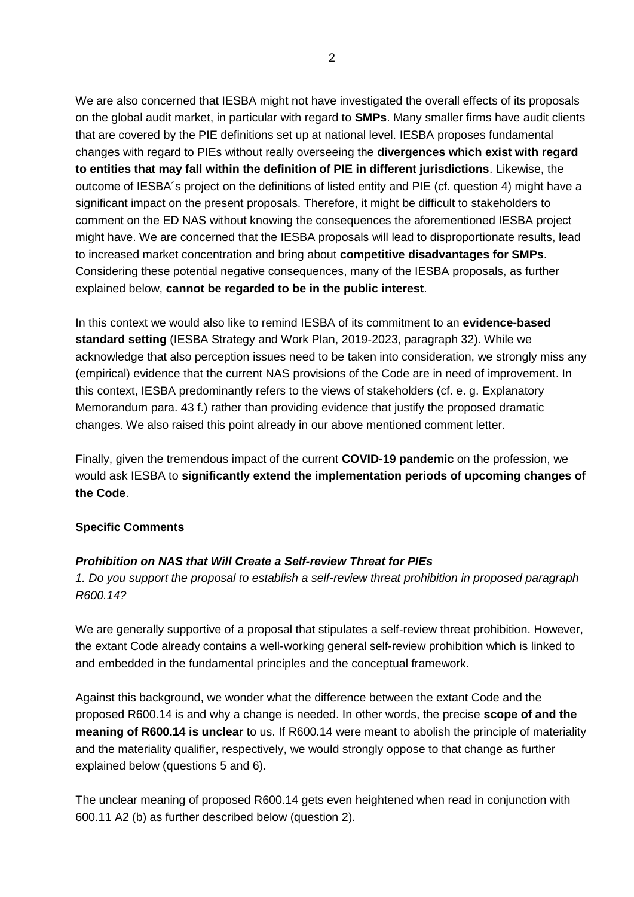We are also concerned that IESBA might not have investigated the overall effects of its proposals on the global audit market, in particular with regard to **SMPs**. Many smaller firms have audit clients that are covered by the PIE definitions set up at national level. IESBA proposes fundamental changes with regard to PIEs without really overseeing the **divergences which exist with regard to entities that may fall within the definition of PIE in different jurisdictions**. Likewise, the outcome of IESBA´s project on the definitions of listed entity and PIE (cf. question 4) might have a significant impact on the present proposals. Therefore, it might be difficult to stakeholders to comment on the ED NAS without knowing the consequences the aforementioned IESBA project might have. We are concerned that the IESBA proposals will lead to disproportionate results, lead to increased market concentration and bring about **competitive disadvantages for SMPs**. Considering these potential negative consequences, many of the IESBA proposals, as further explained below, **cannot be regarded to be in the public interest**.

In this context we would also like to remind IESBA of its commitment to an **evidence-based standard setting** (IESBA Strategy and Work Plan, 2019-2023, paragraph 32). While we acknowledge that also perception issues need to be taken into consideration, we strongly miss any (empirical) evidence that the current NAS provisions of the Code are in need of improvement. In this context, IESBA predominantly refers to the views of stakeholders (cf. e. g. Explanatory Memorandum para. 43 f.) rather than providing evidence that justify the proposed dramatic changes. We also raised this point already in our above mentioned comment letter.

Finally, given the tremendous impact of the current **COVID-19 pandemic** on the profession, we would ask IESBA to **significantly extend the implementation periods of upcoming changes of the Code**.

#### **Specific Comments**

#### *Prohibition on NAS that Will Create a Self-review Threat for PIEs*

*1. Do you support the proposal to establish a self-review threat prohibition in proposed paragraph R600.14?*

We are generally supportive of a proposal that stipulates a self-review threat prohibition. However, the extant Code already contains a well-working general self-review prohibition which is linked to and embedded in the fundamental principles and the conceptual framework.

Against this background, we wonder what the difference between the extant Code and the proposed R600.14 is and why a change is needed. In other words, the precise **scope of and the meaning of R600.14 is unclear** to us. If R600.14 were meant to abolish the principle of materiality and the materiality qualifier, respectively, we would strongly oppose to that change as further explained below (questions 5 and 6).

The unclear meaning of proposed R600.14 gets even heightened when read in conjunction with 600.11 A2 (b) as further described below (question 2).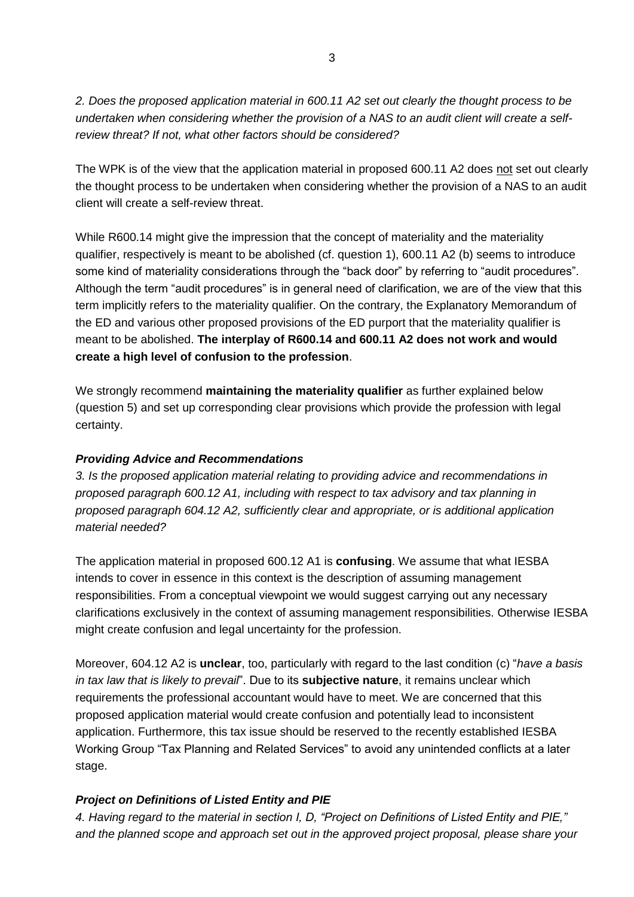*2. Does the proposed application material in 600.11 A2 set out clearly the thought process to be undertaken when considering whether the provision of a NAS to an audit client will create a selfreview threat? If not, what other factors should be considered?*

The WPK is of the view that the application material in proposed 600.11 A2 does not set out clearly the thought process to be undertaken when considering whether the provision of a NAS to an audit client will create a self-review threat.

While R600.14 might give the impression that the concept of materiality and the materiality qualifier, respectively is meant to be abolished (cf. question 1), 600.11 A2 (b) seems to introduce some kind of materiality considerations through the "back door" by referring to "audit procedures". Although the term "audit procedures" is in general need of clarification, we are of the view that this term implicitly refers to the materiality qualifier. On the contrary, the Explanatory Memorandum of the ED and various other proposed provisions of the ED purport that the materiality qualifier is meant to be abolished. **The interplay of R600.14 and 600.11 A2 does not work and would create a high level of confusion to the profession**.

We strongly recommend **maintaining the materiality qualifier** as further explained below (question 5) and set up corresponding clear provisions which provide the profession with legal certainty.

## *Providing Advice and Recommendations*

*3. Is the proposed application material relating to providing advice and recommendations in proposed paragraph 600.12 A1, including with respect to tax advisory and tax planning in proposed paragraph 604.12 A2, sufficiently clear and appropriate, or is additional application material needed?*

The application material in proposed 600.12 A1 is **confusing**. We assume that what IESBA intends to cover in essence in this context is the description of assuming management responsibilities. From a conceptual viewpoint we would suggest carrying out any necessary clarifications exclusively in the context of assuming management responsibilities. Otherwise IESBA might create confusion and legal uncertainty for the profession.

Moreover, 604.12 A2 is **unclear**, too, particularly with regard to the last condition (c) "*have a basis in tax law that is likely to prevail*". Due to its **subjective nature**, it remains unclear which requirements the professional accountant would have to meet. We are concerned that this proposed application material would create confusion and potentially lead to inconsistent application. Furthermore, this tax issue should be reserved to the recently established IESBA Working Group "Tax Planning and Related Services" to avoid any unintended conflicts at a later stage.

## *Project on Definitions of Listed Entity and PIE*

*4. Having regard to the material in section I, D, "Project on Definitions of Listed Entity and PIE," and the planned scope and approach set out in the approved project proposal, please share your*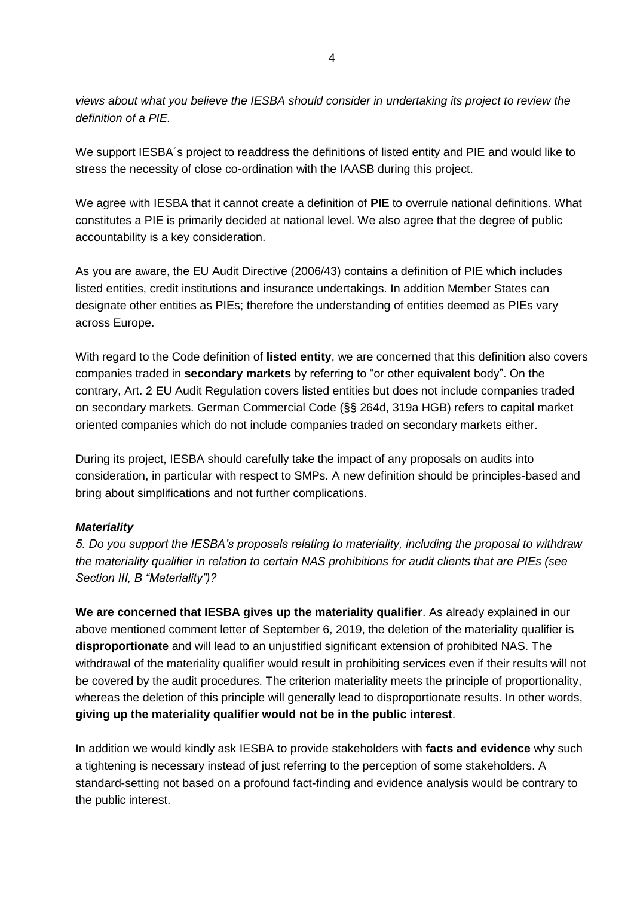*views about what you believe the IESBA should consider in undertaking its project to review the definition of a PIE.*

We support IESBA´s project to readdress the definitions of listed entity and PIE and would like to stress the necessity of close co-ordination with the IAASB during this project.

We agree with IESBA that it cannot create a definition of **PIE** to overrule national definitions. What constitutes a PIE is primarily decided at national level. We also agree that the degree of public accountability is a key consideration.

As you are aware, the EU Audit Directive (2006/43) contains a definition of PIE which includes listed entities, credit institutions and insurance undertakings. In addition Member States can designate other entities as PIEs; therefore the understanding of entities deemed as PIEs vary across Europe.

With regard to the Code definition of **listed entity**, we are concerned that this definition also covers companies traded in **secondary markets** by referring to "or other equivalent body". On the contrary, Art. 2 EU Audit Regulation covers listed entities but does not include companies traded on secondary markets. German Commercial Code (§§ 264d, 319a HGB) refers to capital market oriented companies which do not include companies traded on secondary markets either.

During its project, IESBA should carefully take the impact of any proposals on audits into consideration, in particular with respect to SMPs. A new definition should be principles-based and bring about simplifications and not further complications.

## *Materiality*

*5. Do you support the IESBA's proposals relating to materiality, including the proposal to withdraw the materiality qualifier in relation to certain NAS prohibitions for audit clients that are PIEs (see Section III, B "Materiality")?*

**We are concerned that IESBA gives up the materiality qualifier**. As already explained in our above mentioned comment letter of September 6, 2019, the deletion of the materiality qualifier is **disproportionate** and will lead to an unjustified significant extension of prohibited NAS. The withdrawal of the materiality qualifier would result in prohibiting services even if their results will not be covered by the audit procedures. The criterion materiality meets the principle of proportionality, whereas the deletion of this principle will generally lead to disproportionate results. In other words, **giving up the materiality qualifier would not be in the public interest**.

In addition we would kindly ask IESBA to provide stakeholders with **facts and evidence** why such a tightening is necessary instead of just referring to the perception of some stakeholders. A standard-setting not based on a profound fact-finding and evidence analysis would be contrary to the public interest.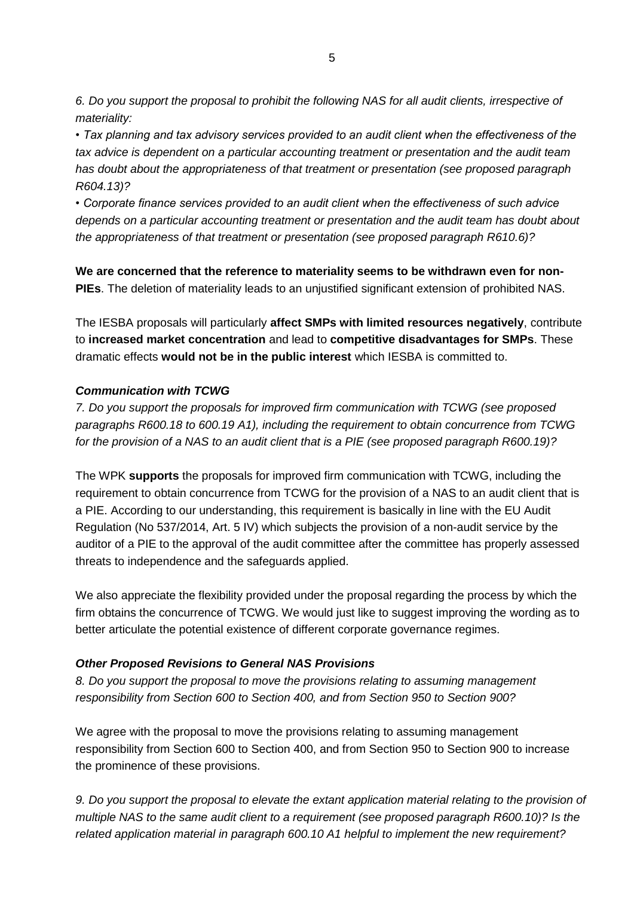*6. Do you support the proposal to prohibit the following NAS for all audit clients, irrespective of materiality:*

*• Tax planning and tax advisory services provided to an audit client when the effectiveness of the tax advice is dependent on a particular accounting treatment or presentation and the audit team has doubt about the appropriateness of that treatment or presentation (see proposed paragraph R604.13)?*

*• Corporate finance services provided to an audit client when the effectiveness of such advice depends on a particular accounting treatment or presentation and the audit team has doubt about the appropriateness of that treatment or presentation (see proposed paragraph R610.6)?*

**We are concerned that the reference to materiality seems to be withdrawn even for non-PIEs**. The deletion of materiality leads to an unjustified significant extension of prohibited NAS.

The IESBA proposals will particularly **affect SMPs with limited resources negatively**, contribute to **increased market concentration** and lead to **competitive disadvantages for SMPs**. These dramatic effects **would not be in the public interest** which IESBA is committed to.

## *Communication with TCWG*

*7. Do you support the proposals for improved firm communication with TCWG (see proposed paragraphs R600.18 to 600.19 A1), including the requirement to obtain concurrence from TCWG for the provision of a NAS to an audit client that is a PIE (see proposed paragraph R600.19)?*

The WPK **supports** the proposals for improved firm communication with TCWG, including the requirement to obtain concurrence from TCWG for the provision of a NAS to an audit client that is a PIE. According to our understanding, this requirement is basically in line with the EU Audit Regulation (No 537/2014, Art. 5 IV) which subjects the provision of a non-audit service by the auditor of a PIE to the approval of the audit committee after the committee has properly assessed threats to independence and the safeguards applied.

We also appreciate the flexibility provided under the proposal regarding the process by which the firm obtains the concurrence of TCWG. We would just like to suggest improving the wording as to better articulate the potential existence of different corporate governance regimes.

## *Other Proposed Revisions to General NAS Provisions*

*8. Do you support the proposal to move the provisions relating to assuming management responsibility from Section 600 to Section 400, and from Section 950 to Section 900?*

We agree with the proposal to move the provisions relating to assuming management responsibility from Section 600 to Section 400, and from Section 950 to Section 900 to increase the prominence of these provisions.

*9. Do you support the proposal to elevate the extant application material relating to the provision of multiple NAS to the same audit client to a requirement (see proposed paragraph R600.10)? Is the related application material in paragraph 600.10 A1 helpful to implement the new requirement?*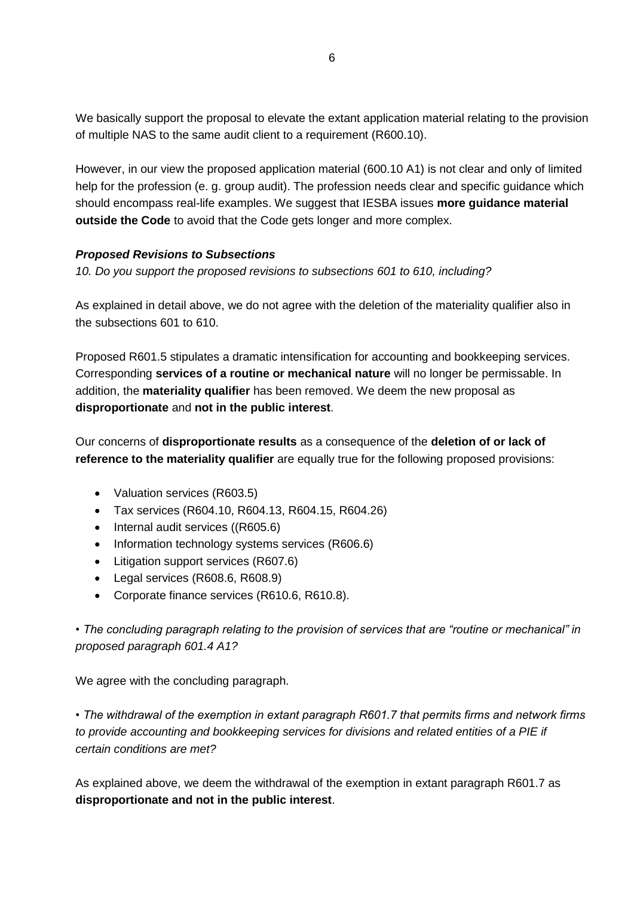We basically support the proposal to elevate the extant application material relating to the provision of multiple NAS to the same audit client to a requirement (R600.10).

However, in our view the proposed application material (600.10 A1) is not clear and only of limited help for the profession (e. g. group audit). The profession needs clear and specific guidance which should encompass real-life examples. We suggest that IESBA issues **more guidance material outside the Code** to avoid that the Code gets longer and more complex.

## *Proposed Revisions to Subsections*

*10. Do you support the proposed revisions to subsections 601 to 610, including?*

As explained in detail above, we do not agree with the deletion of the materiality qualifier also in the subsections 601 to 610.

Proposed R601.5 stipulates a dramatic intensification for accounting and bookkeeping services. Corresponding **services of a routine or mechanical nature** will no longer be permissable. In addition, the **materiality qualifier** has been removed. We deem the new proposal as **disproportionate** and **not in the public interest**.

Our concerns of **disproportionate results** as a consequence of the **deletion of or lack of reference to the materiality qualifier** are equally true for the following proposed provisions:

- Valuation services (R603.5)
- Tax services (R604.10, R604.13, R604.15, R604.26)
- Internal audit services ((R605.6)
- Information technology systems services (R606.6)
- Litigation support services (R607.6)
- Legal services (R608.6, R608.9)
- Corporate finance services (R610.6, R610.8).

*• The concluding paragraph relating to the provision of services that are "routine or mechanical" in proposed paragraph 601.4 A1?*

We agree with the concluding paragraph.

*• The withdrawal of the exemption in extant paragraph R601.7 that permits firms and network firms to provide accounting and bookkeeping services for divisions and related entities of a PIE if certain conditions are met?*

As explained above, we deem the withdrawal of the exemption in extant paragraph R601.7 as **disproportionate and not in the public interest**.